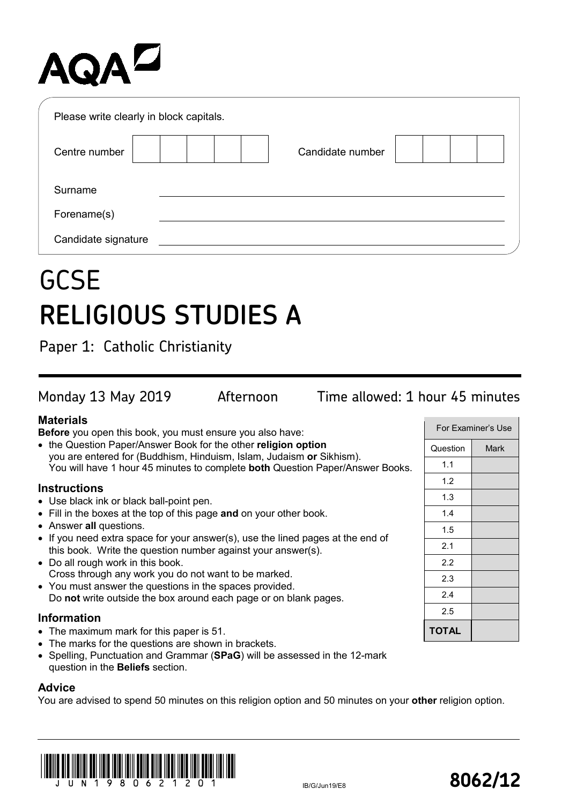# AQA<sup>D</sup>

| Please write clearly in block capitals. |  |                  |  |  |  |  |
|-----------------------------------------|--|------------------|--|--|--|--|
| Centre number                           |  | Candidate number |  |  |  |  |
| Surname                                 |  |                  |  |  |  |  |
| Forename(s)                             |  |                  |  |  |  |  |
| Candidate signature                     |  |                  |  |  |  |  |

# GCSE **RELIGIOUS STUDIES A**

Paper 1: Catholic Christianity

Monday 13 May 2019 Afternoon Time allowed: 1 hour 45 minutes

#### **Materials**

**Before** you open this book, you must ensure you also have:

• the Question Paper/Answer Book for the other **religion option** you are entered for (Buddhism, Hinduism, Islam, Judaism **or** Sikhism). You will have 1 hour 45 minutes to complete **both** Question Paper/Answer Books.

#### **Instructions**

- Use black ink or black ball-point pen.
- Fill in the boxes at the top of this page **and** on your other book.
- Answer **all** questions.
- If you need extra space for your answer(s), use the lined pages at the end of this book. Write the question number against your answer(s).
- Do all rough work in this book. Cross through any work you do not want to be marked.
- You must answer the questions in the spaces provided.
- Do **not** write outside the box around each page or on blank pages.

## **Information**

- The maximum mark for this paper is 51.
- The marks for the questions are shown in brackets.
- Spelling, Punctuation and Grammar (**SPaG**) will be assessed in the 12-mark question in the **Beliefs** section.

### **Advice**

You are advised to spend 50 minutes on this religion option and 50 minutes on your **other** religion option.



| For Examiner's Use |      |  |
|--------------------|------|--|
| Question           | Mark |  |
| 1.1                |      |  |
| 1.2                |      |  |
| 1.3                |      |  |
| 1.4                |      |  |
| 1.5                |      |  |
| 2.1                |      |  |
| 2.2                |      |  |
| 2.3                |      |  |
| 2.4                |      |  |
| 2.5                |      |  |
| TOTAL              |      |  |

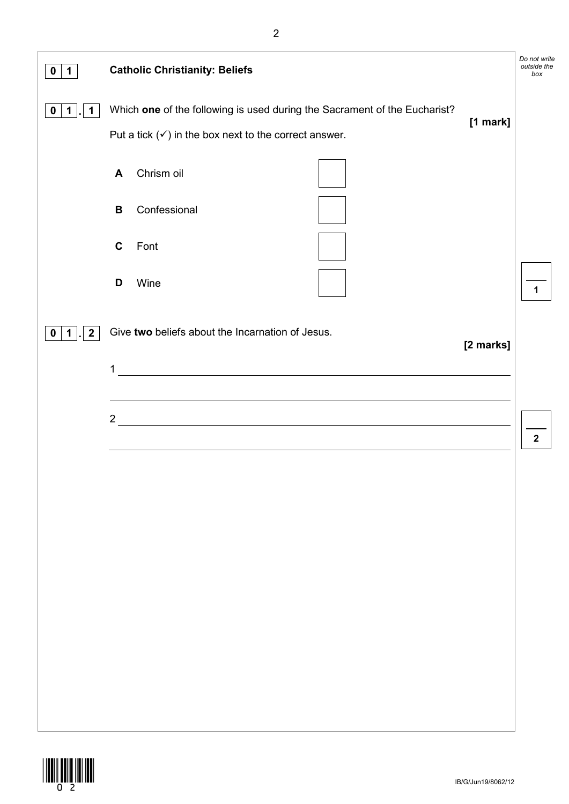| $\mathbf 0$<br>$\mathbf{1}$                 | <b>Catholic Christianity: Beliefs</b>                                                                                                                     |              |
|---------------------------------------------|-----------------------------------------------------------------------------------------------------------------------------------------------------------|--------------|
| $\mathbf 1$<br>$\bf{0}$<br>$\mathbf 1$      | Which one of the following is used during the Sacrament of the Eucharist?<br>[1 mark]<br>Put a tick $(\checkmark)$ in the box next to the correct answer. |              |
|                                             | Chrism oil<br>$\mathbf{A}$                                                                                                                                |              |
|                                             | Confessional<br>$\mathbf B$                                                                                                                               |              |
|                                             | Font<br>$\mathbf C$                                                                                                                                       |              |
|                                             | D<br>Wine                                                                                                                                                 | $\mathbf 1$  |
| $\mathbf{2}$<br>$\mathbf 0$<br>$\mathbf{1}$ | Give two beliefs about the Incarnation of Jesus.<br>[2 marks]                                                                                             |              |
|                                             | <u> 1989 - Johann Stoff, deutscher Stoffen und der Stoffen und der Stoffen und der Stoffen und der Stoffen und de</u><br>1                                |              |
|                                             |                                                                                                                                                           | $\mathbf{2}$ |
|                                             |                                                                                                                                                           |              |
|                                             |                                                                                                                                                           |              |
|                                             |                                                                                                                                                           |              |
|                                             |                                                                                                                                                           |              |
|                                             |                                                                                                                                                           |              |
|                                             |                                                                                                                                                           |              |
|                                             |                                                                                                                                                           |              |

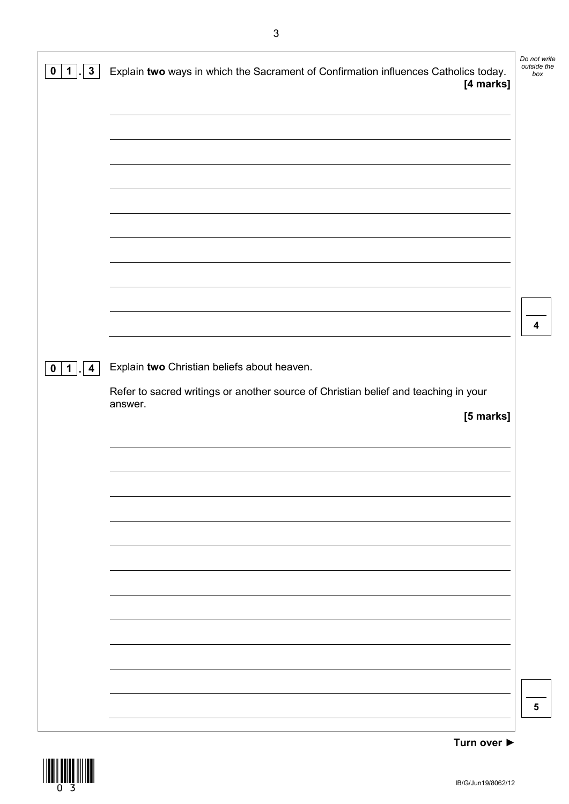| $3\phantom{a}$<br>$\mathbf 0$<br>$\mathbf{1}$ | Explain two ways in which the Sacrament of Confirmation influences Catholics today.<br>[4 marks] | Do not write<br>outside the<br>box |
|-----------------------------------------------|--------------------------------------------------------------------------------------------------|------------------------------------|
|                                               |                                                                                                  |                                    |
|                                               |                                                                                                  |                                    |
|                                               |                                                                                                  |                                    |
|                                               |                                                                                                  |                                    |
|                                               |                                                                                                  |                                    |
|                                               |                                                                                                  |                                    |
|                                               |                                                                                                  |                                    |
|                                               |                                                                                                  |                                    |
|                                               |                                                                                                  |                                    |
|                                               |                                                                                                  |                                    |
|                                               |                                                                                                  |                                    |
|                                               |                                                                                                  |                                    |
|                                               |                                                                                                  | 4                                  |
|                                               |                                                                                                  |                                    |
| 4<br>$\mathbf 0$<br>$\mathbf 1$               | Explain two Christian beliefs about heaven.                                                      |                                    |
|                                               |                                                                                                  |                                    |
|                                               | Refer to sacred writings or another source of Christian belief and teaching in your              |                                    |
|                                               | answer.                                                                                          |                                    |
|                                               | [5 marks]                                                                                        |                                    |
|                                               |                                                                                                  |                                    |
|                                               |                                                                                                  |                                    |
|                                               |                                                                                                  |                                    |
|                                               |                                                                                                  |                                    |
|                                               |                                                                                                  |                                    |
|                                               |                                                                                                  |                                    |
|                                               |                                                                                                  |                                    |
|                                               |                                                                                                  |                                    |
|                                               |                                                                                                  |                                    |
|                                               |                                                                                                  |                                    |
|                                               |                                                                                                  |                                    |
|                                               |                                                                                                  |                                    |
|                                               |                                                                                                  |                                    |
|                                               |                                                                                                  |                                    |
|                                               |                                                                                                  | 5                                  |



3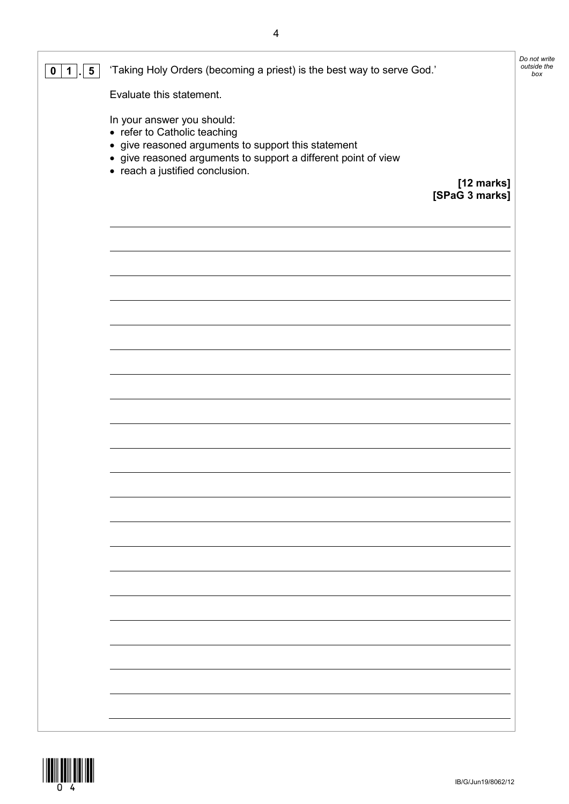| $5\phantom{.0}$<br>0<br>1 | 'Taking Holy Orders (becoming a priest) is the best way to serve God.'                                                                                                                                                 | Do not write<br>outside the<br>box |
|---------------------------|------------------------------------------------------------------------------------------------------------------------------------------------------------------------------------------------------------------------|------------------------------------|
|                           | Evaluate this statement.                                                                                                                                                                                               |                                    |
|                           | In your answer you should:<br>• refer to Catholic teaching<br>• give reasoned arguments to support this statement<br>• give reasoned arguments to support a different point of view<br>• reach a justified conclusion. |                                    |
|                           | [12 marks]<br>[SPaG 3 marks]                                                                                                                                                                                           |                                    |
|                           |                                                                                                                                                                                                                        |                                    |
|                           |                                                                                                                                                                                                                        |                                    |
|                           |                                                                                                                                                                                                                        |                                    |
|                           |                                                                                                                                                                                                                        |                                    |
|                           |                                                                                                                                                                                                                        |                                    |
|                           |                                                                                                                                                                                                                        |                                    |
|                           |                                                                                                                                                                                                                        |                                    |
|                           |                                                                                                                                                                                                                        |                                    |
|                           |                                                                                                                                                                                                                        |                                    |
|                           |                                                                                                                                                                                                                        |                                    |
|                           |                                                                                                                                                                                                                        |                                    |
|                           |                                                                                                                                                                                                                        |                                    |
|                           |                                                                                                                                                                                                                        |                                    |
|                           |                                                                                                                                                                                                                        |                                    |
|                           |                                                                                                                                                                                                                        |                                    |
|                           |                                                                                                                                                                                                                        |                                    |
|                           |                                                                                                                                                                                                                        |                                    |
|                           |                                                                                                                                                                                                                        |                                    |
|                           |                                                                                                                                                                                                                        |                                    |
|                           |                                                                                                                                                                                                                        |                                    |
|                           |                                                                                                                                                                                                                        |                                    |
|                           |                                                                                                                                                                                                                        |                                    |
|                           |                                                                                                                                                                                                                        |                                    |

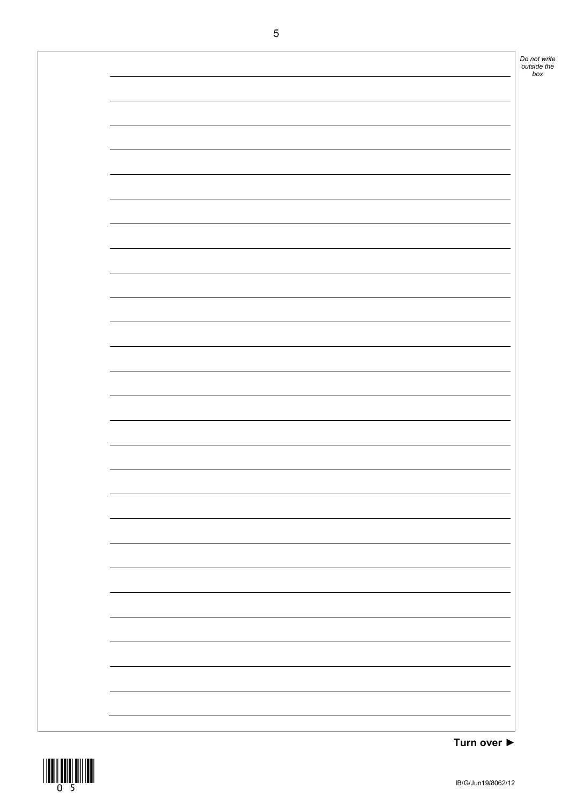

**Turn over ►**



5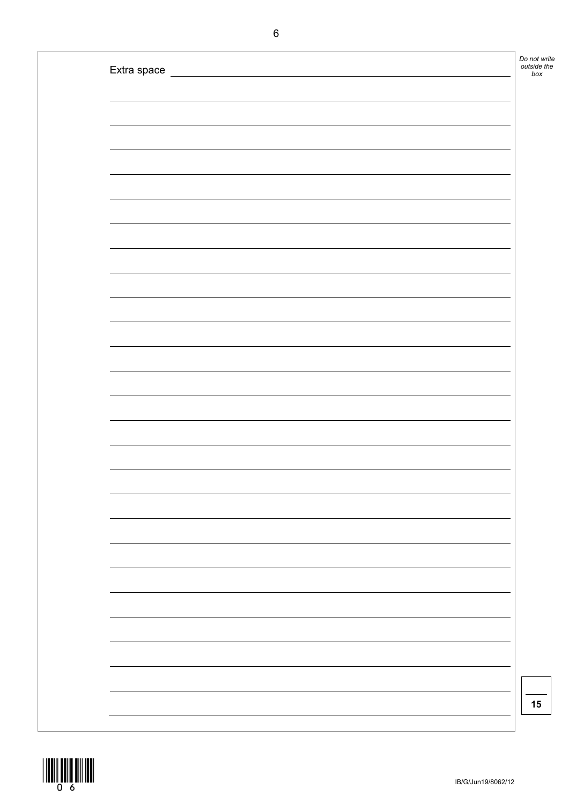|  | Do not write<br>outside the<br>box |
|--|------------------------------------|
|  |                                    |
|  |                                    |
|  |                                    |
|  |                                    |
|  |                                    |
|  |                                    |
|  |                                    |
|  |                                    |
|  |                                    |
|  |                                    |
|  |                                    |
|  |                                    |
|  |                                    |
|  |                                    |
|  |                                    |
|  |                                    |
|  |                                    |
|  | 15                                 |
|  |                                    |

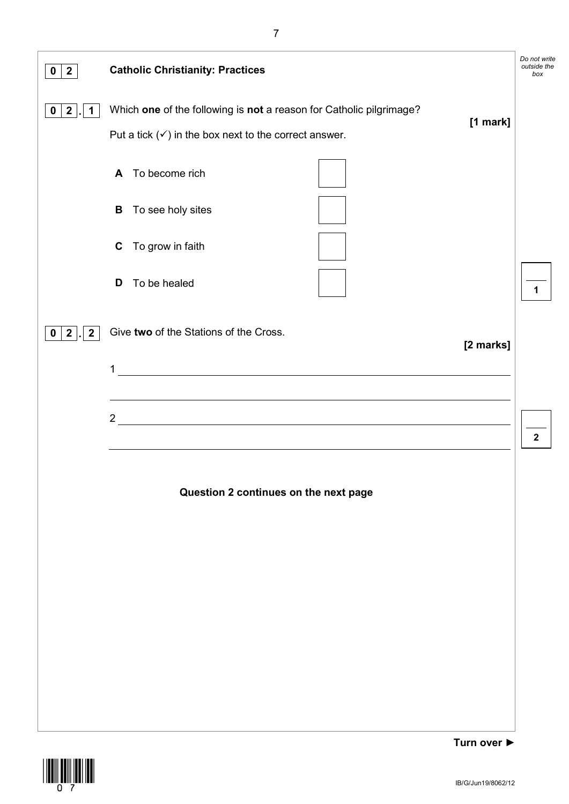| $\overline{2}$<br>$\mathbf 0$              | <b>Catholic Christianity: Practices</b>                                                                                                             | Do not write<br>outside the<br>box |
|--------------------------------------------|-----------------------------------------------------------------------------------------------------------------------------------------------------|------------------------------------|
| $\mathbf{2}$<br>$\mathbf 1$<br>$\mathbf 0$ | Which one of the following is not a reason for Catholic pilgrimage?<br>[1 mark]<br>Put a tick $(\checkmark)$ in the box next to the correct answer. |                                    |
|                                            | To become rich<br>A                                                                                                                                 |                                    |
|                                            | To see holy sites<br>B                                                                                                                              |                                    |
|                                            | To grow in faith<br>C                                                                                                                               |                                    |
|                                            | To be healed<br>D                                                                                                                                   | 1                                  |
| $\overline{2}$<br>$2$ .<br>$\mathbf 0$     | Give two of the Stations of the Cross.<br>[2 marks]                                                                                                 |                                    |
|                                            | <u> 1989 - Johann Stoff, deutscher Stoffen und der Stoffen und der Stoffen und der Stoffen und der Stoffen und der</u><br>1                         |                                    |
|                                            |                                                                                                                                                     | $\mathbf{2}$                       |
|                                            | Question 2 continues on the next page                                                                                                               |                                    |
|                                            |                                                                                                                                                     |                                    |
|                                            |                                                                                                                                                     |                                    |
|                                            |                                                                                                                                                     |                                    |
|                                            |                                                                                                                                                     |                                    |

7

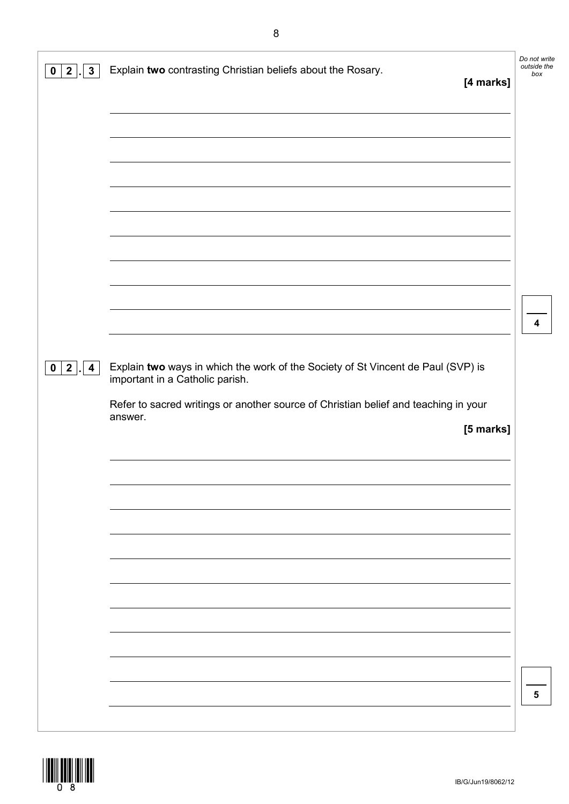| 3 <sup>1</sup><br>$\overline{2}$<br>0      | Explain two contrasting Christian beliefs about the Rosary.<br>[4 marks]                                            | Do not write<br>outside the<br>box |
|--------------------------------------------|---------------------------------------------------------------------------------------------------------------------|------------------------------------|
|                                            |                                                                                                                     |                                    |
|                                            |                                                                                                                     |                                    |
|                                            |                                                                                                                     | 4                                  |
| $0 \mid 2 \mid$<br>$\overline{\mathbf{4}}$ | Explain two ways in which the work of the Society of St Vincent de Paul (SVP) is<br>important in a Catholic parish. |                                    |
|                                            | Refer to sacred writings or another source of Christian belief and teaching in your<br>answer.<br>[5 marks]         |                                    |
|                                            |                                                                                                                     |                                    |
|                                            |                                                                                                                     |                                    |
|                                            |                                                                                                                     |                                    |
|                                            |                                                                                                                     | 5                                  |

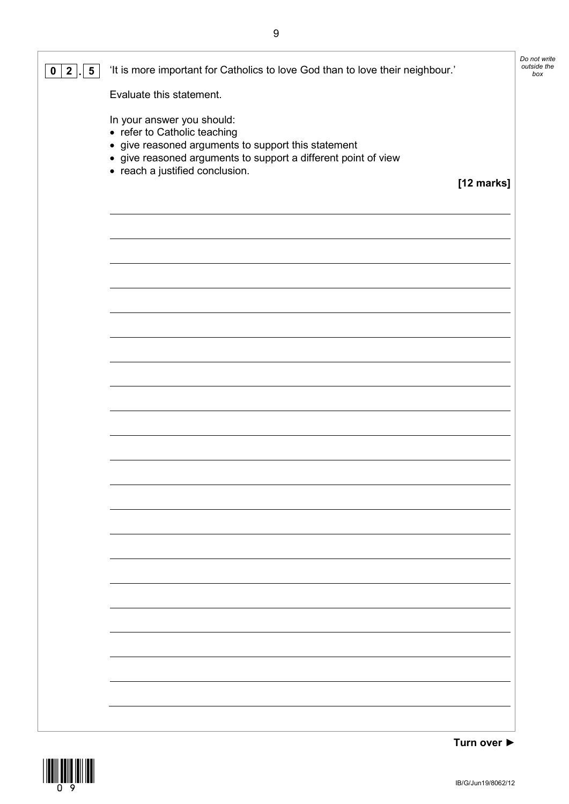| $2 \mid$<br>$\overline{\mathbf{5}}$<br>0 | 'It is more important for Catholics to love God than to love their neighbour.'                                                                                                                                         | Do not write<br>outside the |
|------------------------------------------|------------------------------------------------------------------------------------------------------------------------------------------------------------------------------------------------------------------------|-----------------------------|
|                                          | Evaluate this statement.                                                                                                                                                                                               |                             |
|                                          | In your answer you should:<br>• refer to Catholic teaching<br>• give reasoned arguments to support this statement<br>• give reasoned arguments to support a different point of view<br>• reach a justified conclusion. |                             |
|                                          | [12 marks]                                                                                                                                                                                                             |                             |
|                                          |                                                                                                                                                                                                                        |                             |
|                                          |                                                                                                                                                                                                                        |                             |
|                                          |                                                                                                                                                                                                                        |                             |
|                                          |                                                                                                                                                                                                                        |                             |
|                                          |                                                                                                                                                                                                                        |                             |
|                                          |                                                                                                                                                                                                                        |                             |
|                                          |                                                                                                                                                                                                                        |                             |
|                                          |                                                                                                                                                                                                                        |                             |
|                                          |                                                                                                                                                                                                                        |                             |
|                                          |                                                                                                                                                                                                                        |                             |
|                                          |                                                                                                                                                                                                                        |                             |
|                                          |                                                                                                                                                                                                                        |                             |
|                                          |                                                                                                                                                                                                                        |                             |
|                                          |                                                                                                                                                                                                                        |                             |
|                                          |                                                                                                                                                                                                                        |                             |
|                                          |                                                                                                                                                                                                                        |                             |
|                                          |                                                                                                                                                                                                                        |                             |
|                                          |                                                                                                                                                                                                                        |                             |
|                                          |                                                                                                                                                                                                                        |                             |
|                                          |                                                                                                                                                                                                                        |                             |
|                                          |                                                                                                                                                                                                                        |                             |
|                                          |                                                                                                                                                                                                                        |                             |
|                                          |                                                                                                                                                                                                                        |                             |

**Turn over ►**

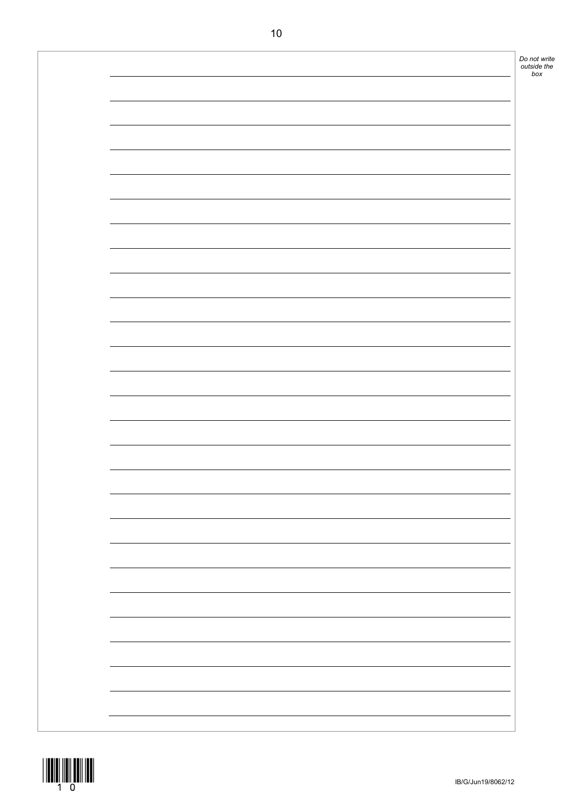

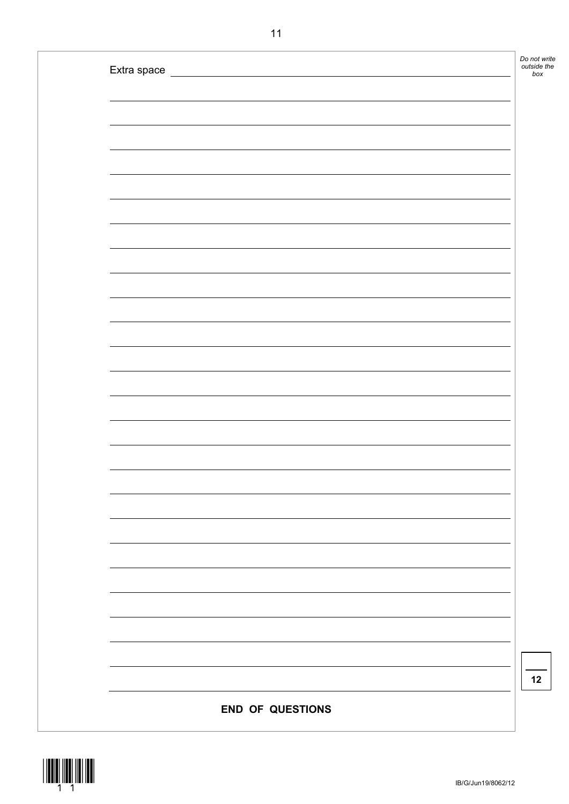| IB/G/Jun19/8062/12 |
|--------------------|
|--------------------|

| IB/G/Jun19/8062/12 |
|--------------------|
|                    |

|                         | Do not write<br>outside the<br>box |
|-------------------------|------------------------------------|
|                         |                                    |
|                         |                                    |
|                         |                                    |
|                         |                                    |
|                         |                                    |
|                         |                                    |
|                         |                                    |
|                         |                                    |
|                         |                                    |
|                         |                                    |
|                         |                                    |
|                         |                                    |
|                         |                                    |
|                         |                                    |
|                         |                                    |
|                         |                                    |
|                         |                                    |
|                         |                                    |
|                         | 12                                 |
| <b>END OF QUESTIONS</b> |                                    |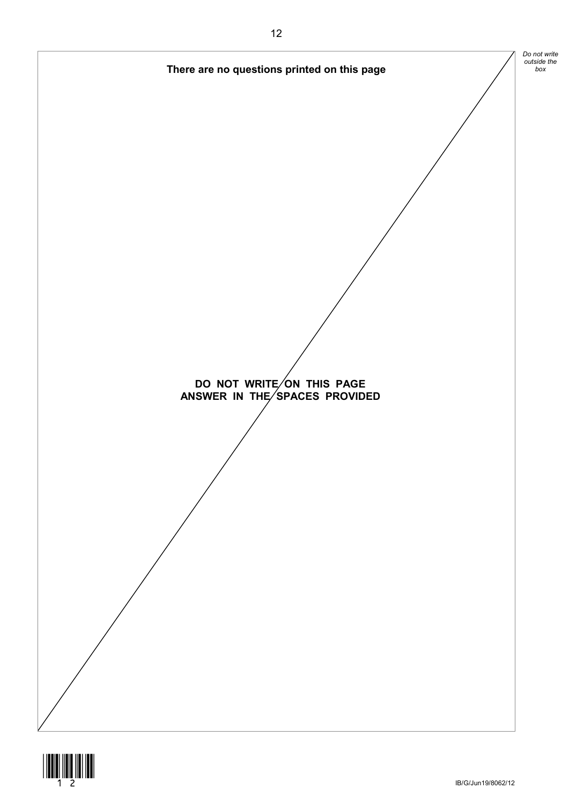

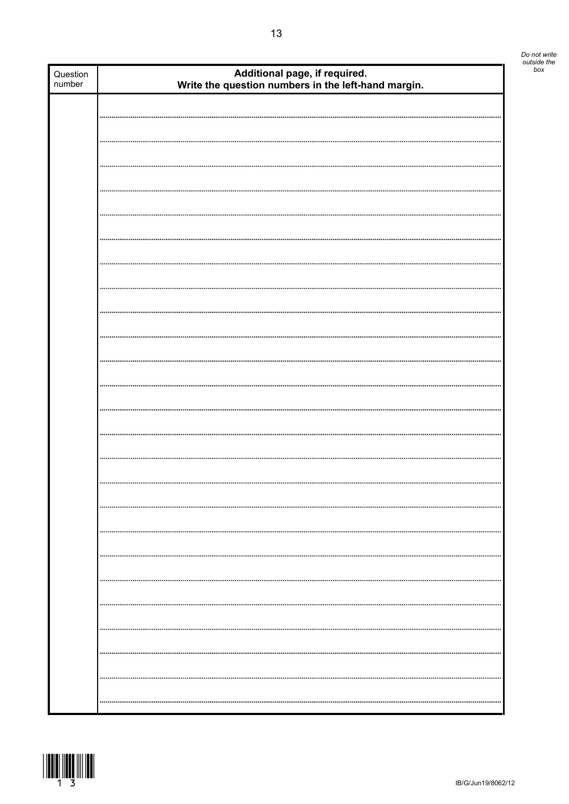| Question<br>number | Additional page, if required.<br>Write the question numbers in the left-hand margin. |  |
|--------------------|--------------------------------------------------------------------------------------|--|
|                    |                                                                                      |  |
|                    |                                                                                      |  |
|                    |                                                                                      |  |
|                    |                                                                                      |  |
|                    |                                                                                      |  |
|                    |                                                                                      |  |
|                    |                                                                                      |  |
|                    |                                                                                      |  |
|                    |                                                                                      |  |
|                    |                                                                                      |  |
|                    |                                                                                      |  |
|                    |                                                                                      |  |
|                    |                                                                                      |  |
|                    |                                                                                      |  |
|                    |                                                                                      |  |
|                    |                                                                                      |  |
|                    |                                                                                      |  |
|                    |                                                                                      |  |
|                    |                                                                                      |  |
|                    |                                                                                      |  |
|                    |                                                                                      |  |
|                    |                                                                                      |  |
|                    |                                                                                      |  |
|                    |                                                                                      |  |
|                    |                                                                                      |  |
|                    |                                                                                      |  |
|                    |                                                                                      |  |
|                    |                                                                                      |  |
|                    |                                                                                      |  |
|                    |                                                                                      |  |
|                    |                                                                                      |  |
|                    |                                                                                      |  |
|                    |                                                                                      |  |
|                    |                                                                                      |  |
|                    |                                                                                      |  |
|                    |                                                                                      |  |
|                    |                                                                                      |  |
|                    |                                                                                      |  |
|                    |                                                                                      |  |
|                    |                                                                                      |  |
|                    |                                                                                      |  |

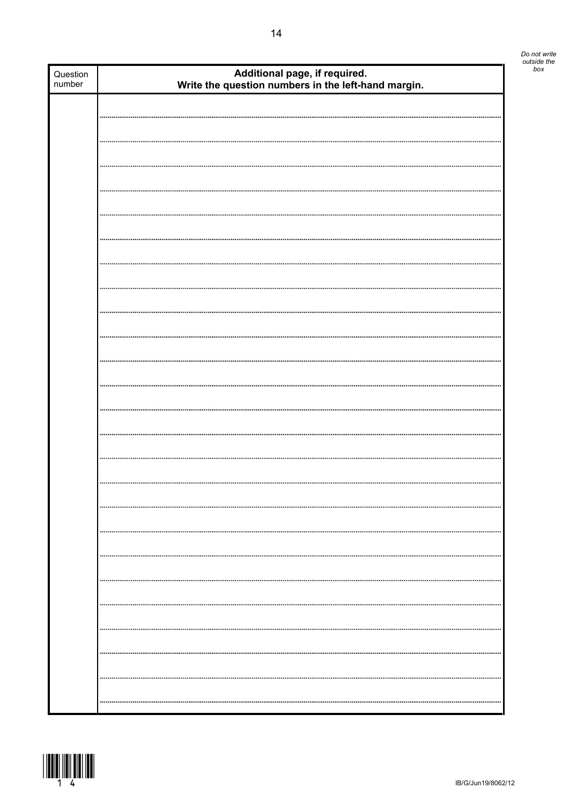| Question<br>number | Additional page, if required.<br>Write the question numbers in the left-hand margin. | box |
|--------------------|--------------------------------------------------------------------------------------|-----|
|                    |                                                                                      |     |
|                    |                                                                                      |     |
|                    |                                                                                      |     |
|                    |                                                                                      |     |
|                    |                                                                                      |     |
|                    |                                                                                      |     |
|                    |                                                                                      |     |
|                    |                                                                                      |     |
|                    |                                                                                      |     |
|                    |                                                                                      |     |
|                    |                                                                                      |     |
|                    |                                                                                      |     |
|                    |                                                                                      |     |
|                    |                                                                                      |     |
|                    |                                                                                      |     |
|                    |                                                                                      |     |
|                    |                                                                                      |     |
|                    |                                                                                      |     |
|                    |                                                                                      |     |
|                    |                                                                                      |     |
|                    |                                                                                      |     |
|                    |                                                                                      |     |
|                    |                                                                                      |     |
|                    |                                                                                      |     |
|                    |                                                                                      |     |
|                    |                                                                                      |     |
|                    |                                                                                      |     |
|                    |                                                                                      |     |
|                    |                                                                                      |     |
|                    |                                                                                      |     |
|                    |                                                                                      |     |
|                    |                                                                                      |     |
|                    |                                                                                      |     |
|                    |                                                                                      |     |
|                    |                                                                                      |     |
|                    |                                                                                      |     |
|                    |                                                                                      |     |
|                    |                                                                                      |     |
|                    |                                                                                      |     |
|                    |                                                                                      |     |



*Do not write outside the*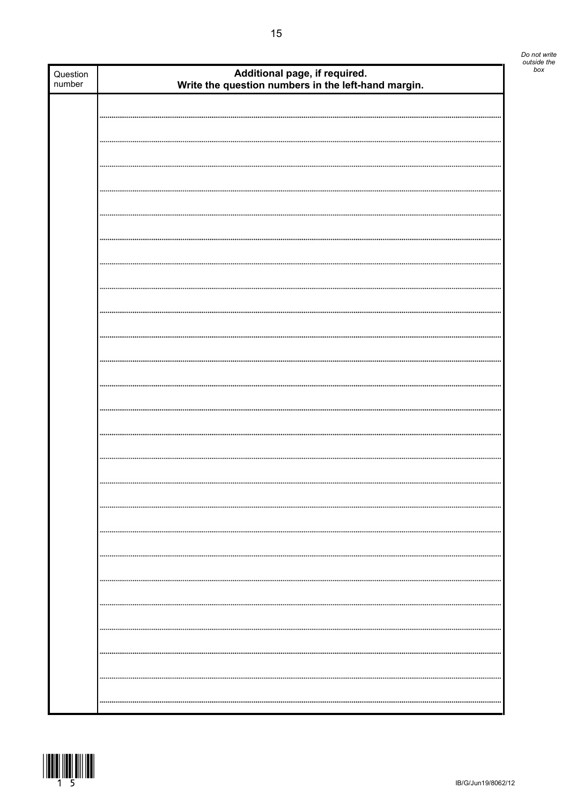| Question<br>number | Additional page, if required.<br>Write the question numbers in the left-hand margin. |  |
|--------------------|--------------------------------------------------------------------------------------|--|
|                    |                                                                                      |  |
|                    |                                                                                      |  |
|                    |                                                                                      |  |
|                    |                                                                                      |  |
|                    |                                                                                      |  |
|                    |                                                                                      |  |
|                    |                                                                                      |  |
|                    |                                                                                      |  |
|                    |                                                                                      |  |
|                    |                                                                                      |  |
|                    |                                                                                      |  |
|                    |                                                                                      |  |
|                    |                                                                                      |  |
|                    |                                                                                      |  |
|                    |                                                                                      |  |
|                    |                                                                                      |  |
|                    |                                                                                      |  |
|                    |                                                                                      |  |
|                    |                                                                                      |  |
|                    |                                                                                      |  |
|                    |                                                                                      |  |
|                    |                                                                                      |  |
|                    |                                                                                      |  |
|                    |                                                                                      |  |
|                    |                                                                                      |  |
|                    |                                                                                      |  |
|                    |                                                                                      |  |
|                    |                                                                                      |  |
|                    |                                                                                      |  |
|                    |                                                                                      |  |
|                    |                                                                                      |  |
|                    |                                                                                      |  |
|                    |                                                                                      |  |
|                    |                                                                                      |  |
|                    |                                                                                      |  |
|                    |                                                                                      |  |
|                    |                                                                                      |  |
|                    |                                                                                      |  |
|                    |                                                                                      |  |
|                    |                                                                                      |  |



 $\overline{\phantom{a}}$ 

*Do not write outside the*